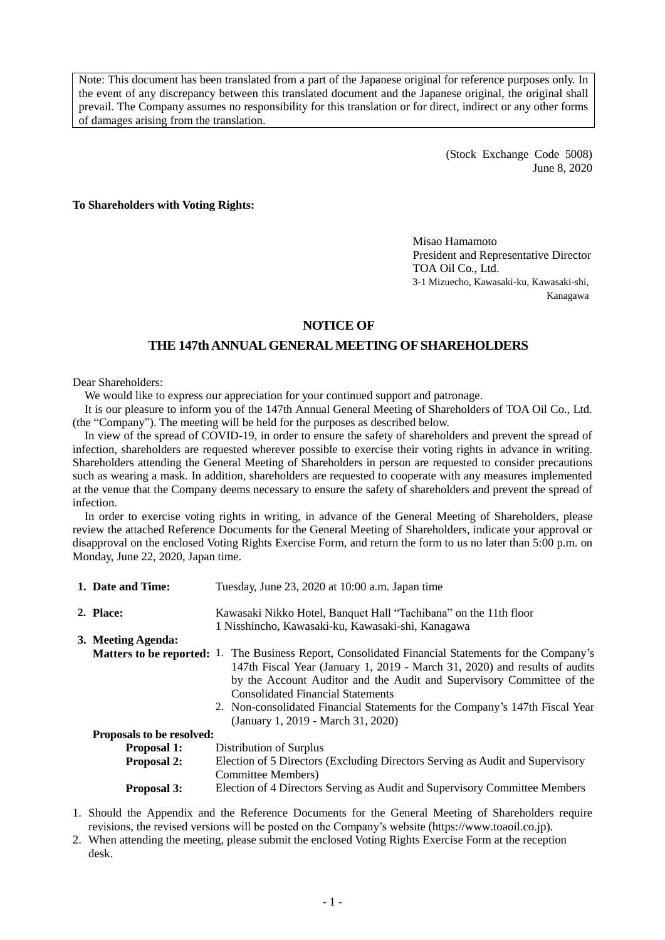Note: This document has been translated from a part of the Japanese original for reference purposes only. In the event of any discrepancy between this translated document and the Japanese original, the original shall prevail. The Company assumes no responsibility for this translation or for direct, indirect or any other forms of damages arising from the translation.

> (Stock Exchange Code 5008) June 8, 2020

**To Shareholders with Voting Rights:**

Misao Hamamoto President and Representative Director TOA Oil Co., Ltd. 3-1 Mizuecho, Kawasaki-ku, Kawasaki-shi, Kanagawa

#### **NOTICE OF**

## **THE 147th ANNUAL GENERAL MEETING OF SHAREHOLDERS**

#### Dear Shareholders:

We would like to express our appreciation for your continued support and patronage.

It is our pleasure to inform you of the 147th Annual General Meeting of Shareholders of TOA Oil Co., Ltd. (the "Company"). The meeting will be held for the purposes as described below.

In view of the spread of COVID-19, in order to ensure the safety of shareholders and prevent the spread of infection, shareholders are requested wherever possible to exercise their voting rights in advance in writing. Shareholders attending the General Meeting of Shareholders in person are requested to consider precautions such as wearing a mask. In addition, shareholders are requested to cooperate with any measures implemented at the venue that the Company deems necessary to ensure the safety of shareholders and prevent the spread of infection.

In order to exercise voting rights in writing, in advance of the General Meeting of Shareholders, please review the attached Reference Documents for the General Meeting of Shareholders, indicate your approval or disapproval on the enclosed Voting Rights Exercise Form, and return the form to us no later than 5:00 p.m. on Monday, June 22, 2020, Japan time.

| 1. Date and Time:                             | Tuesday, June 23, 2020 at 10:00 a.m. Japan time                                                            |  |  |
|-----------------------------------------------|------------------------------------------------------------------------------------------------------------|--|--|
| 2. Place:                                     | Kawasaki Nikko Hotel, Banquet Hall "Tachibana" on the 11th floor                                           |  |  |
|                                               | 1 Nisshincho, Kawasaki-ku, Kawasaki-shi, Kanagawa                                                          |  |  |
| 3. Meeting Agenda:                            |                                                                                                            |  |  |
|                                               | <b>Matters to be reported:</b> 1. The Business Report, Consolidated Financial Statements for the Company's |  |  |
|                                               | 147th Fiscal Year (January 1, 2019 - March 31, 2020) and results of audits                                 |  |  |
|                                               | by the Account Auditor and the Audit and Supervisory Committee of the                                      |  |  |
|                                               | <b>Consolidated Financial Statements</b>                                                                   |  |  |
|                                               | 2. Non-consolidated Financial Statements for the Company's 147th Fiscal Year                               |  |  |
|                                               | (January 1, 2019 - March 31, 2020)                                                                         |  |  |
| Proposals to be resolved:                     |                                                                                                            |  |  |
| <b>Proposal 1:</b><br>Distribution of Surplus |                                                                                                            |  |  |
| <b>Proposal 2:</b>                            | Election of 5 Directors (Excluding Directors Serving as Audit and Supervisory                              |  |  |
|                                               | Committee Members)                                                                                         |  |  |
| <b>Proposal 3:</b>                            | Election of 4 Directors Serving as Audit and Supervisory Committee Members                                 |  |  |

- 1. Should the Appendix and the Reference Documents for the General Meeting of Shareholders require revisions, the revised versions will be posted on the Company's website (https://www.toaoil.co.jp).
- 2. When attending the meeting, please submit the enclosed Voting Rights Exercise Form at the reception desk.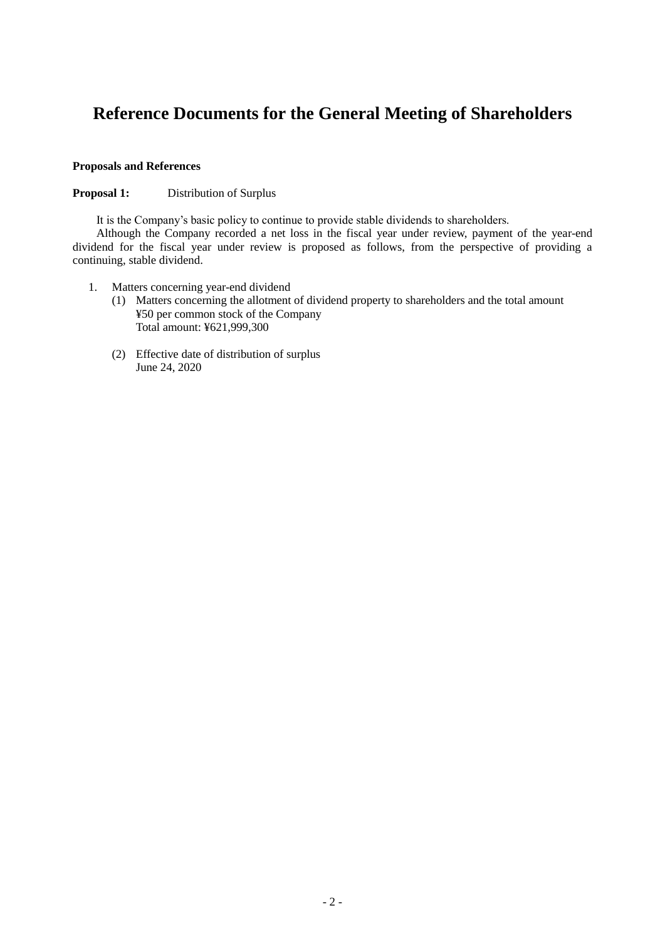# **Reference Documents for the General Meeting of Shareholders**

#### **Proposals and References**

#### **Proposal 1:** Distribution of Surplus

It is the Company's basic policy to continue to provide stable dividends to shareholders.

Although the Company recorded a net loss in the fiscal year under review, payment of the year-end dividend for the fiscal year under review is proposed as follows, from the perspective of providing a continuing, stable dividend.

- 1. Matters concerning year-end dividend
	- (1) Matters concerning the allotment of dividend property to shareholders and the total amount ¥50 per common stock of the Company Total amount: ¥621,999,300
	- (2) Effective date of distribution of surplus June 24, 2020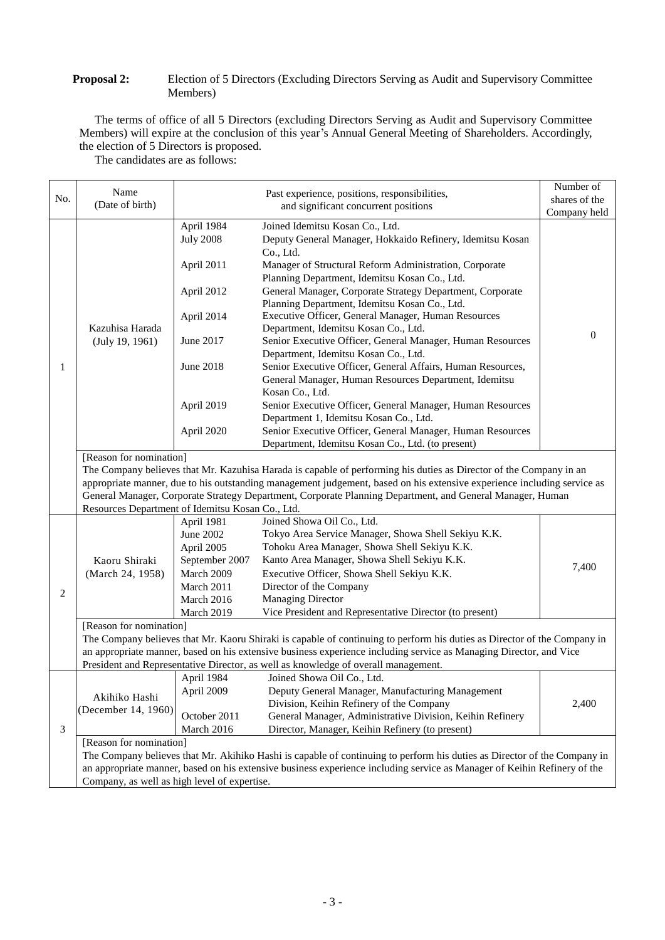#### **Proposal 2:** Election of 5 Directors (Excluding Directors Serving as Audit and Supervisory Committee Members)

The terms of office of all 5 Directors (excluding Directors Serving as Audit and Supervisory Committee Members) will expire at the conclusion of this year's Annual General Meeting of Shareholders. Accordingly, the election of 5 Directors is proposed.

The candidates are as follows:

|     | Name                                                                                                                     |                                                                                                                    | Past experience, positions, responsibilities,                                                                           | Number of     |  |  |
|-----|--------------------------------------------------------------------------------------------------------------------------|--------------------------------------------------------------------------------------------------------------------|-------------------------------------------------------------------------------------------------------------------------|---------------|--|--|
| No. | (Date of birth)                                                                                                          |                                                                                                                    | and significant concurrent positions                                                                                    | shares of the |  |  |
|     |                                                                                                                          |                                                                                                                    |                                                                                                                         | Company held  |  |  |
|     | Kazuhisa Harada<br>(July 19, 1961)                                                                                       | April 1984<br><b>July 2008</b>                                                                                     | Joined Idemitsu Kosan Co., Ltd.<br>Deputy General Manager, Hokkaido Refinery, Idemitsu Kosan                            |               |  |  |
|     |                                                                                                                          | April 2011                                                                                                         | Co., Ltd.                                                                                                               |               |  |  |
|     |                                                                                                                          |                                                                                                                    | Manager of Structural Reform Administration, Corporate<br>Planning Department, Idemitsu Kosan Co., Ltd.                 |               |  |  |
|     |                                                                                                                          | April 2012                                                                                                         | General Manager, Corporate Strategy Department, Corporate<br>Planning Department, Idemitsu Kosan Co., Ltd.              |               |  |  |
|     |                                                                                                                          | April 2014                                                                                                         | Executive Officer, General Manager, Human Resources<br>Department, Idemitsu Kosan Co., Ltd.                             |               |  |  |
|     |                                                                                                                          | June 2017                                                                                                          | Senior Executive Officer, General Manager, Human Resources<br>Department, Idemitsu Kosan Co., Ltd.                      | $\mathbf{0}$  |  |  |
| 1   |                                                                                                                          | June 2018                                                                                                          | Senior Executive Officer, General Affairs, Human Resources,<br>General Manager, Human Resources Department, Idemitsu    |               |  |  |
|     |                                                                                                                          |                                                                                                                    | Kosan Co., Ltd.                                                                                                         |               |  |  |
|     |                                                                                                                          | April 2019                                                                                                         | Senior Executive Officer, General Manager, Human Resources                                                              |               |  |  |
|     |                                                                                                                          |                                                                                                                    | Department 1, Idemitsu Kosan Co., Ltd.                                                                                  |               |  |  |
|     |                                                                                                                          | April 2020                                                                                                         | Senior Executive Officer, General Manager, Human Resources                                                              |               |  |  |
|     |                                                                                                                          |                                                                                                                    | Department, Idemitsu Kosan Co., Ltd. (to present)                                                                       |               |  |  |
|     | [Reason for nomination]                                                                                                  |                                                                                                                    |                                                                                                                         |               |  |  |
|     |                                                                                                                          | The Company believes that Mr. Kazuhisa Harada is capable of performing his duties as Director of the Company in an |                                                                                                                         |               |  |  |
|     |                                                                                                                          |                                                                                                                    | appropriate manner, due to his outstanding management judgement, based on his extensive experience including service as |               |  |  |
|     |                                                                                                                          |                                                                                                                    | General Manager, Corporate Strategy Department, Corporate Planning Department, and General Manager, Human               |               |  |  |
|     | Resources Department of Idemitsu Kosan Co., Ltd.                                                                         |                                                                                                                    |                                                                                                                         |               |  |  |
|     | Kaoru Shiraki<br>(March 24, 1958)                                                                                        | April 1981                                                                                                         | Joined Showa Oil Co., Ltd.                                                                                              |               |  |  |
|     |                                                                                                                          | June 2002                                                                                                          | Tokyo Area Service Manager, Showa Shell Sekiyu K.K.                                                                     |               |  |  |
|     |                                                                                                                          | April 2005                                                                                                         | Tohoku Area Manager, Showa Shell Sekiyu K.K.                                                                            |               |  |  |
|     |                                                                                                                          | September 2007                                                                                                     | Kanto Area Manager, Showa Shell Sekiyu K.K.                                                                             | 7,400         |  |  |
|     |                                                                                                                          | March 2009                                                                                                         | Executive Officer, Showa Shell Sekiyu K.K.                                                                              |               |  |  |
| 2   |                                                                                                                          | March 2011                                                                                                         | Director of the Company                                                                                                 |               |  |  |
|     |                                                                                                                          | March 2016                                                                                                         | <b>Managing Director</b>                                                                                                |               |  |  |
|     |                                                                                                                          | March 2019                                                                                                         | Vice President and Representative Director (to present)                                                                 |               |  |  |
|     | [Reason for nomination]                                                                                                  |                                                                                                                    |                                                                                                                         |               |  |  |
|     | The Company believes that Mr. Kaoru Shiraki is capable of continuing to perform his duties as Director of the Company in |                                                                                                                    |                                                                                                                         |               |  |  |
|     | an appropriate manner, based on his extensive business experience including service as Managing Director, and Vice       |                                                                                                                    |                                                                                                                         |               |  |  |
|     | President and Representative Director, as well as knowledge of overall management.                                       |                                                                                                                    |                                                                                                                         |               |  |  |
|     |                                                                                                                          | April 1984                                                                                                         | Joined Showa Oil Co., Ltd.                                                                                              |               |  |  |
|     |                                                                                                                          | April 2009                                                                                                         | Deputy General Manager, Manufacturing Management                                                                        |               |  |  |
|     | Akihiko Hashi                                                                                                            |                                                                                                                    | Division, Keihin Refinery of the Company                                                                                | 2,400         |  |  |
|     | (December 14, 1960)                                                                                                      | October 2011                                                                                                       | General Manager, Administrative Division, Keihin Refinery                                                               |               |  |  |
| 3   |                                                                                                                          | March 2016                                                                                                         | Director, Manager, Keihin Refinery (to present)                                                                         |               |  |  |
|     | [Reason for nomination]                                                                                                  |                                                                                                                    |                                                                                                                         |               |  |  |
|     | The Company believes that Mr. Akihiko Hashi is capable of continuing to perform his duties as Director of the Company in |                                                                                                                    |                                                                                                                         |               |  |  |
|     | an appropriate manner, based on his extensive business experience including service as Manager of Keihin Refinery of the |                                                                                                                    |                                                                                                                         |               |  |  |
|     | Company, as well as high level of expertise.                                                                             |                                                                                                                    |                                                                                                                         |               |  |  |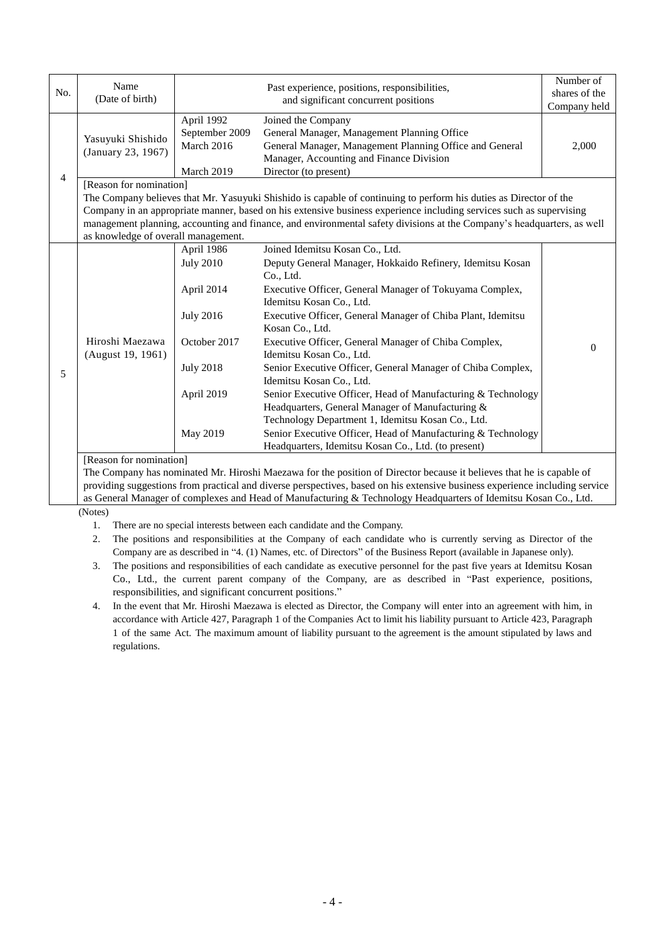| No. | Name<br>(Date of birth)                                                                                                                                                                                                                                                                                                                                                                                                              |                                                                                                                                | Past experience, positions, responsibilities,<br>and significant concurrent positions                                                                                                                                                                                                                                                                                                                                                                                                                                                                                                                                                                                                                                                                             | Number of<br>shares of the<br>Company held |
|-----|--------------------------------------------------------------------------------------------------------------------------------------------------------------------------------------------------------------------------------------------------------------------------------------------------------------------------------------------------------------------------------------------------------------------------------------|--------------------------------------------------------------------------------------------------------------------------------|-------------------------------------------------------------------------------------------------------------------------------------------------------------------------------------------------------------------------------------------------------------------------------------------------------------------------------------------------------------------------------------------------------------------------------------------------------------------------------------------------------------------------------------------------------------------------------------------------------------------------------------------------------------------------------------------------------------------------------------------------------------------|--------------------------------------------|
| 4   | Yasuyuki Shishido<br>(January 23, 1967)                                                                                                                                                                                                                                                                                                                                                                                              | April 1992<br>September 2009<br>March 2016<br>March 2019                                                                       | Joined the Company<br>General Manager, Management Planning Office<br>General Manager, Management Planning Office and General<br>Manager, Accounting and Finance Division<br>Director (to present)                                                                                                                                                                                                                                                                                                                                                                                                                                                                                                                                                                 | 2,000                                      |
|     | [Reason for nomination]<br>The Company believes that Mr. Yasuyuki Shishido is capable of continuing to perform his duties as Director of the<br>Company in an appropriate manner, based on his extensive business experience including services such as supervising<br>management planning, accounting and finance, and environmental safety divisions at the Company's headquarters, as well<br>as knowledge of overall management. |                                                                                                                                |                                                                                                                                                                                                                                                                                                                                                                                                                                                                                                                                                                                                                                                                                                                                                                   |                                            |
| 5   | Hiroshi Maezawa<br>(August 19, 1961)<br>[Reason for nomination]                                                                                                                                                                                                                                                                                                                                                                      | April 1986<br><b>July 2010</b><br>April 2014<br><b>July 2016</b><br>October 2017<br><b>July 2018</b><br>April 2019<br>May 2019 | Joined Idemitsu Kosan Co., Ltd.<br>Deputy General Manager, Hokkaido Refinery, Idemitsu Kosan<br>Co., Ltd.<br>Executive Officer, General Manager of Tokuyama Complex,<br>Idemitsu Kosan Co., Ltd.<br>Executive Officer, General Manager of Chiba Plant, Idemitsu<br>Kosan Co., Ltd.<br>Executive Officer, General Manager of Chiba Complex,<br>Idemitsu Kosan Co., Ltd.<br>Senior Executive Officer, General Manager of Chiba Complex,<br>Idemitsu Kosan Co., Ltd.<br>Senior Executive Officer, Head of Manufacturing & Technology<br>Headquarters, General Manager of Manufacturing &<br>Technology Department 1, Idemitsu Kosan Co., Ltd.<br>Senior Executive Officer, Head of Manufacturing & Technology<br>Headquarters, Idemitsu Kosan Co., Ltd. (to present) | $\Omega$                                   |

The Company has nominated Mr. Hiroshi Maezawa for the position of Director because it believes that he is capable of providing suggestions from practical and diverse perspectives, based on his extensive business experience including service as General Manager of complexes and Head of Manufacturing & Technology Headquarters of Idemitsu Kosan Co., Ltd.

(Notes)

1. There are no special interests between each candidate and the Company.

2. The positions and responsibilities at the Company of each candidate who is currently serving as Director of the Company are as described in "4. (1) Names, etc. of Directors" of the Business Report (available in Japanese only).

3. The positions and responsibilities of each candidate as executive personnel for the past five years at Idemitsu Kosan Co., Ltd., the current parent company of the Company, are as described in "Past experience, positions, responsibilities, and significant concurrent positions."

4. In the event that Mr. Hiroshi Maezawa is elected as Director, the Company will enter into an agreement with him, in accordance with Article 427, Paragraph 1 of the Companies Act to limit his liability pursuant to Article 423, Paragraph 1 of the same Act. The maximum amount of liability pursuant to the agreement is the amount stipulated by laws and regulations.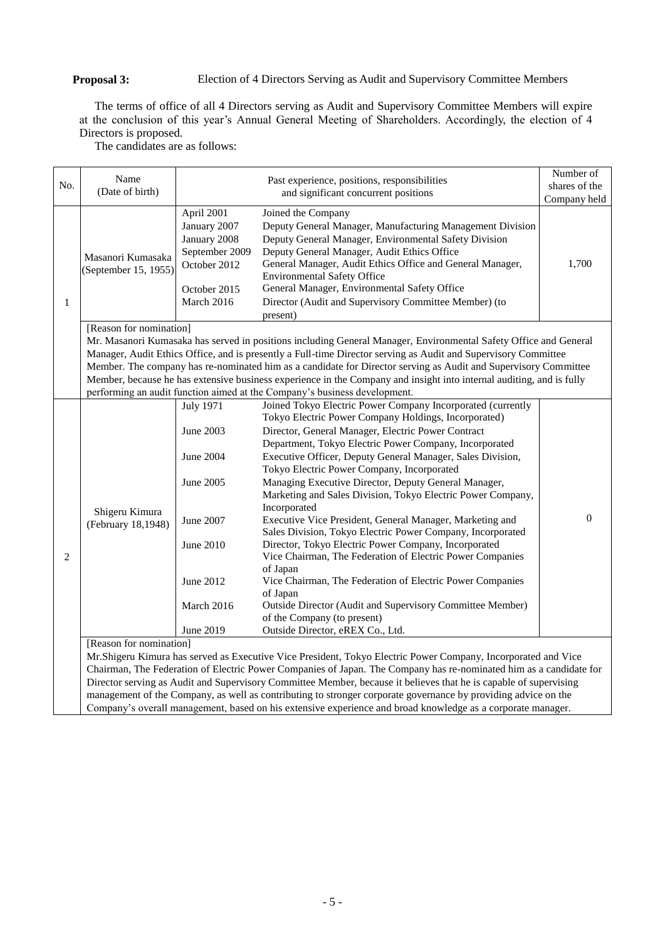### **Proposal 3:** Election of 4 Directors Serving as Audit and Supervisory Committee Members

The terms of office of all 4 Directors serving as Audit and Supervisory Committee Members will expire at the conclusion of this year's Annual General Meeting of Shareholders. Accordingly, the election of 4 Directors is proposed.

The candidates are as follows:

| No. | Name                                                                                                                                                                                                                                |                                                                                                            | Past experience, positions, responsibilities                                                                                                                                                                                                                                                                                                                                                                                                                                                                                                                                                                     | Number of     |
|-----|-------------------------------------------------------------------------------------------------------------------------------------------------------------------------------------------------------------------------------------|------------------------------------------------------------------------------------------------------------|------------------------------------------------------------------------------------------------------------------------------------------------------------------------------------------------------------------------------------------------------------------------------------------------------------------------------------------------------------------------------------------------------------------------------------------------------------------------------------------------------------------------------------------------------------------------------------------------------------------|---------------|
|     | (Date of birth)                                                                                                                                                                                                                     | and significant concurrent positions                                                                       |                                                                                                                                                                                                                                                                                                                                                                                                                                                                                                                                                                                                                  | shares of the |
|     |                                                                                                                                                                                                                                     |                                                                                                            |                                                                                                                                                                                                                                                                                                                                                                                                                                                                                                                                                                                                                  | Company held  |
| 1   | Masanori Kumasaka<br>(September 15, 1955)                                                                                                                                                                                           | April 2001<br>January 2007<br>January 2008<br>September 2009<br>October 2012<br>October 2015<br>March 2016 | Joined the Company<br>Deputy General Manager, Manufacturing Management Division<br>Deputy General Manager, Environmental Safety Division<br>Deputy General Manager, Audit Ethics Office<br>General Manager, Audit Ethics Office and General Manager,<br><b>Environmental Safety Office</b><br>General Manager, Environmental Safety Office<br>Director (Audit and Supervisory Committee Member) (to<br>present)                                                                                                                                                                                                  | 1,700         |
|     | [Reason for nomination]                                                                                                                                                                                                             |                                                                                                            |                                                                                                                                                                                                                                                                                                                                                                                                                                                                                                                                                                                                                  |               |
|     |                                                                                                                                                                                                                                     |                                                                                                            | Mr. Masanori Kumasaka has served in positions including General Manager, Environmental Safety Office and General                                                                                                                                                                                                                                                                                                                                                                                                                                                                                                 |               |
|     |                                                                                                                                                                                                                                     |                                                                                                            | Manager, Audit Ethics Office, and is presently a Full-time Director serving as Audit and Supervisory Committee                                                                                                                                                                                                                                                                                                                                                                                                                                                                                                   |               |
|     |                                                                                                                                                                                                                                     |                                                                                                            | Member. The company has re-nominated him as a candidate for Director serving as Audit and Supervisory Committee                                                                                                                                                                                                                                                                                                                                                                                                                                                                                                  |               |
|     |                                                                                                                                                                                                                                     |                                                                                                            | Member, because he has extensive business experience in the Company and insight into internal auditing, and is fully                                                                                                                                                                                                                                                                                                                                                                                                                                                                                             |               |
|     |                                                                                                                                                                                                                                     |                                                                                                            | performing an audit function aimed at the Company's business development.                                                                                                                                                                                                                                                                                                                                                                                                                                                                                                                                        |               |
|     | Shigeru Kimura<br>(February 18,1948)                                                                                                                                                                                                | July 1971<br>June 2003<br>June 2004<br>June 2005<br>June 2007                                              | Joined Tokyo Electric Power Company Incorporated (currently<br>Tokyo Electric Power Company Holdings, Incorporated)<br>Director, General Manager, Electric Power Contract<br>Department, Tokyo Electric Power Company, Incorporated<br>Executive Officer, Deputy General Manager, Sales Division,<br>Tokyo Electric Power Company, Incorporated<br>Managing Executive Director, Deputy General Manager,<br>Marketing and Sales Division, Tokyo Electric Power Company,<br>Incorporated<br>Executive Vice President, General Manager, Marketing and<br>Sales Division, Tokyo Electric Power Company, Incorporated | $\Omega$      |
| 2   |                                                                                                                                                                                                                                     | June 2010<br>June 2012<br>March 2016                                                                       | Director, Tokyo Electric Power Company, Incorporated<br>Vice Chairman, The Federation of Electric Power Companies<br>of Japan<br>Vice Chairman, The Federation of Electric Power Companies<br>of Japan<br>Outside Director (Audit and Supervisory Committee Member)                                                                                                                                                                                                                                                                                                                                              |               |
|     |                                                                                                                                                                                                                                     |                                                                                                            | of the Company (to present)                                                                                                                                                                                                                                                                                                                                                                                                                                                                                                                                                                                      |               |
|     |                                                                                                                                                                                                                                     | June 2019                                                                                                  | Outside Director, eREX Co., Ltd.                                                                                                                                                                                                                                                                                                                                                                                                                                                                                                                                                                                 |               |
|     | [Reason for nomination]                                                                                                                                                                                                             |                                                                                                            |                                                                                                                                                                                                                                                                                                                                                                                                                                                                                                                                                                                                                  |               |
|     | Mr.Shigeru Kimura has served as Executive Vice President, Tokyo Electric Power Company, Incorporated and Vice<br>Chairman, The Federation of Electric Power Companies of Japan. The Company has re-nominated him as a candidate for |                                                                                                            |                                                                                                                                                                                                                                                                                                                                                                                                                                                                                                                                                                                                                  |               |
|     | Director serving as Audit and Supervisory Committee Member, because it believes that he is capable of supervising                                                                                                                   |                                                                                                            |                                                                                                                                                                                                                                                                                                                                                                                                                                                                                                                                                                                                                  |               |
|     | management of the Company, as well as contributing to stronger corporate governance by providing advice on the                                                                                                                      |                                                                                                            |                                                                                                                                                                                                                                                                                                                                                                                                                                                                                                                                                                                                                  |               |
|     | Company's overall management, based on his extensive experience and broad knowledge as a corporate manager.                                                                                                                         |                                                                                                            |                                                                                                                                                                                                                                                                                                                                                                                                                                                                                                                                                                                                                  |               |